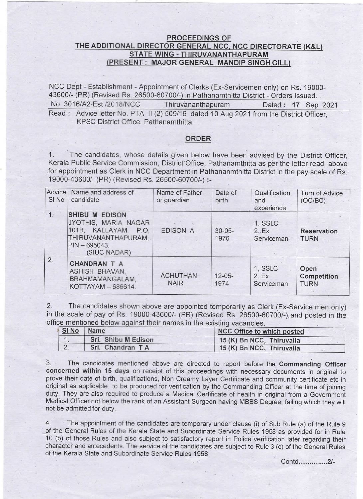## PROCEEDINGS OF THE ADDITIONAL DIRECTOR GENERAL NCC, NCC DIRECTORATE (K&L) STATE WING - THIRUVANANTHAPURAM (PRESENT: MAJOR GENERAL MANDIP SINGH GILL)

NCC Dept - Establishment - Appointment of Clerks (Ex-Servicemen only) on Rs. 19000-43600/- (PR) (Revised Rs. 26500-60700/-) in Pathanamthitta District - Orders Issued. No. 3016/A2-Est /2018/NCC Thiruvananthapuram Dated : 17 Sep 2021 Read : Advice letter No. PTA II (2) 509/16 dated 10 Aug 2021 from the District Officer, KPSC District Office, Pathanamthitta.

## ORDER

1. The candidates, whose details given below have been advised by the District Officer, Kerala Public Service Commission, District Office, Pathanamthitta as per the letter read above for appointment as Clerk in NCC Department in Pathananmthitta District in the pay scale of Rs. 19000-43600/- (PR) (Revised Rs. 26500-60700/-) :-

| Advice<br>SI <sub>No</sub> | Name and address of<br>candidate                                                                                                             | Name of Father<br>or guardian  | Date of<br>birth    | Qualification<br>and<br>experience | Turn of Advice<br>(OC/BC)                 |
|----------------------------|----------------------------------------------------------------------------------------------------------------------------------------------|--------------------------------|---------------------|------------------------------------|-------------------------------------------|
| $-1:$                      | <b>SHIBU M</b><br><b>EDISON</b><br>JYOTHIS, MARIA NAGAR<br>101B, KALLAYAM.<br>P.O.<br>THIRUVANANTHAPURAM.<br>$PIN - 695043.$<br>(SIUC NADAR) | EDISON A.                      | $30 - 05 -$<br>1976 | 1. SSLC<br>2.Ex<br>Serviceman      | <b>Reservation</b><br><b>TURN</b>         |
| 2.                         | <b>CHANDRAN T A</b><br>ASHISH BHAVAN.<br>BRAHMAMANGALAM.<br>KOTTAYAM - 686614.                                                               | <b>ACHUTHAN</b><br><b>NAIR</b> | $12 - 05 -$<br>1974 | 1. SSLC<br>2.Ex<br>Serviceman      | Open<br><b>Competition</b><br><b>TURN</b> |

2. The candidates shown above are appointed temporarily as clerk (Ex-Service men only) in the scale of pay of Rs. 19000-43600/- (PR) (Revised Rs. 26500-60700/-) and posted in the office mentioned below against their names in the existing vacancies

| SI No  | Name                | NCC Office to which posted |  |
|--------|---------------------|----------------------------|--|
|        | Sri. Shibu M Edison | 15 (K) Bn NCC, Thiruvalla  |  |
| $\sim$ | Sri. Chandran TA    | 15 (K) Bn NCC, Thiruvalla  |  |

3. The candidates mentioned above are directed to report before the Commanding Officer concerned within 15 days on receipt of this proceedings with necessary documents in original to prove their date of birth, qualifications, Non Creamy Layer Certificate and community certificate etc in original as applicable to be produced for verification by the Commanding Officer at the time of joining duty. They are also required to produce a Medical Certificate of health in original from a Government Medical Officer not below the rank of an Assistant Surgeon having MBBS Degree, failing which they will not be admitted for duty.

4. The appointment of the candidates are temporary under clause (i) of Sub Rule (a) of the Rule 9 of the General Rules of the Kerala State and Subordinate Service Rules 1958 as provided for in Rule 10 (b) of those Rules and also subject to satisfactory report in Police verification later regarding their character and antecedents. The service of the candidates are subject to Rule 3 (c) of the General Rules of the Kerala State and Subordinate Service Rules 1958.

Contd ...............2/-